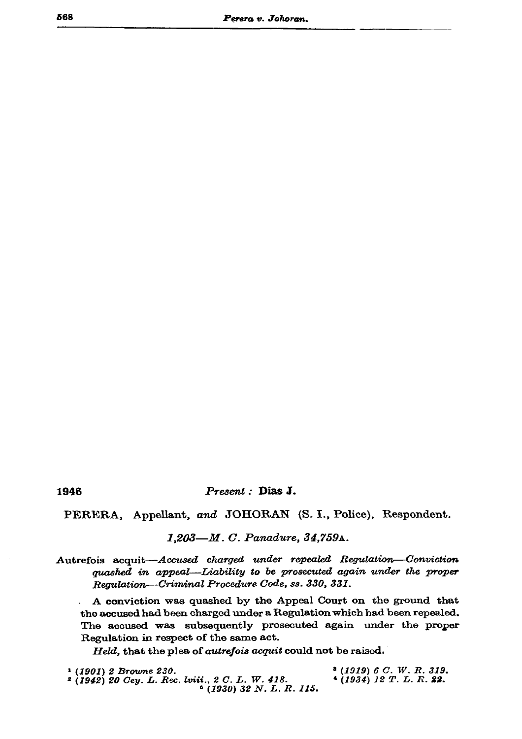## Present : Dias J.

PERERA, Appellant, and JOHORAN (S. I., Police), Respondent.

1,203-M. C. Panadure, 34,759A.

Autrefois acquit--Accused charged under repealed Regulation-Conviction quashed in appeal-Liability to be prosecuted again under the proper Regulation-Criminal Procedure Code, ss. 330, 331.

A conviction was quashed by the Appeal Court on the ground that the accused had been charged under a Regulation which had been repealed. The accused was subsequently prosecuted again under the proper Regulation in respect of the same act.

Held, that the plea of autrefois acquit could not be raised.

| <sup>1</sup> (1901) 2 Browne 230.                 | $*(1919) 6 C. W. R. 319.$ |
|---------------------------------------------------|---------------------------|
| $2(1942)$ 20 Cey. L. Rec. lviii., 2 C. L. W. 418. | $(1934)$ 12 T.L.R. 22.    |
| $(1930)$ 32 N.L.R.115.                            |                           |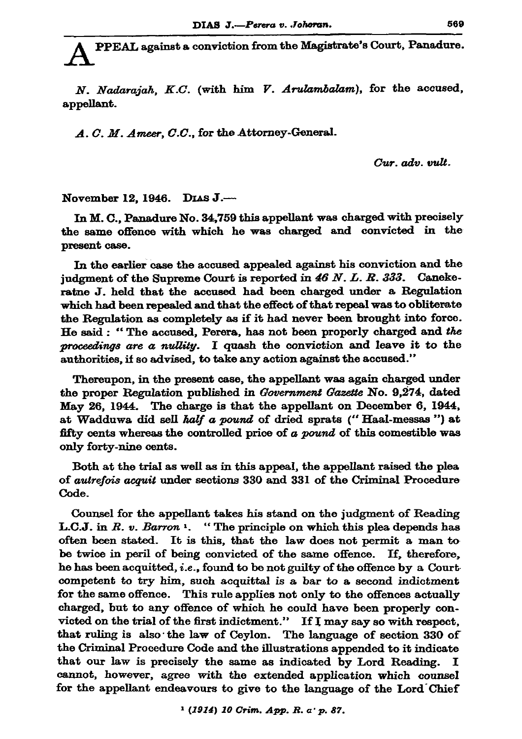PPEAL against a conviction from the Magistrate's Court, Panadure.

N. Nadarajah, K.C. (with him V. Arulambalam), for the accused, appellant.

A. C. M. Ameer, C.C., for the Attorney-General.

Cur. adv. vult.

November 12, 1946. DIAS J.-

In M. C., Panadure No. 34,759 this appellant was charged with precisely the same offence with which he was charged and convicted in the present case.

In the earlier case the accused appealed against his conviction and the judgment of the Supreme Court is reported in  $46 N. L. R. 333.$  Canekeratne J. held that the accused had been charged under a Regulation which had been repealed and that the effect of that repeal was to obliterate the Regulation as completely as if it had never been brought into force. He said: "The accused, Perera, has not been properly charged and the proceedings are a nullity. I quash the conviction and leave it to the authorities, if so advised, to take any action against the accused."

Thereupon, in the present case, the appellant was again charged under the proper Regulation published in Government Gazette No. 9,274, dated May 26, 1944. The charge is that the appellant on December 6, 1944, at Wadduwa did sell half a pound of dried sprats ("Haal-messas") at fifty cents whereas the controlled price of a pound of this comestible was only forty-nine cents.

Both at the trial as well as in this appeal, the appellant raised the plea of *autrefois acquit* under sections 330 and 331 of the Criminal Procedure Code.

Counsel for the appellant takes his stand on the judgment of Reading L.C.J. in R. v. Barron 1. "The principle on which this plea depends has often been stated. It is this, that the law does not permit a man to be twice in peril of being convicted of the same offence. If, therefore, he has been acquitted, i.e., found to be not guilty of the offence by a Court competent to try him, such acquittal is a bar to a second indictment for the same offence. This rule applies not only to the offences actually charged, but to any offence of which he could have been properly convicted on the trial of the first indictment." If I may say so with respect, that ruling is also the law of Ceylon. The language of section 330 of the Criminal Procedure Code and the illustrations appended to it indicate that our law is precisely the same as indicated by Lord Reading. I cannot, however, agree with the extended application which counsel for the appellant endeavours to give to the language of the Lord Chief

<sup>1</sup> (1914) 10 Crim. App. R. a' p. 87.